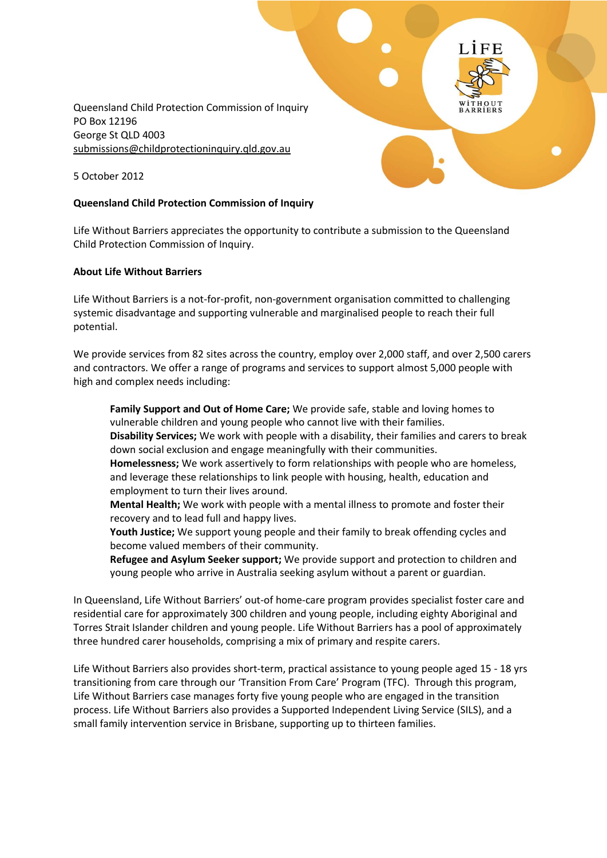Queensland Child Protection Commission of Inquiry PO Box 12196 George St QLD 4003 [submissions@childprotectioninquiry.qld.gov.au](mailto:submissions@childprotectioninquiry.qld.gov.au)

5 October 2012

#### **Queensland Child Protection Commission of Inquiry**

Life Without Barriers appreciates the opportunity to contribute a submission to the Queensland Child Protection Commission of Inquiry.

#### **About Life Without Barriers**

Life Without Barriers is a not-for-profit, non-government organisation committed to challenging systemic disadvantage and supporting vulnerable and marginalised people to reach their full potential.

We provide services from 82 sites across the country, employ over 2,000 staff, and over 2,500 carers and contractors. We offer a range of programs and services to support almost 5,000 people with high and complex needs including:

**Family Support and Out of Home Care;** We provide safe, stable and loving homes to vulnerable children and young people who cannot live with their families.

**Disability Services;** We work with people with a disability, their families and carers to break down social exclusion and engage meaningfully with their communities.

**Homelessness;** We work assertively to form relationships with people who are homeless, and leverage these relationships to link people with housing, health, education and employment to turn their lives around.

**Mental Health;** We work with people with a mental illness to promote and foster their recovery and to lead full and happy lives.

**Youth Justice;** We support young people and their family to break offending cycles and become valued members of their community.

**Refugee and Asylum Seeker support;** We provide support and protection to children and young people who arrive in Australia seeking asylum without a parent or guardian.

In Queensland, Life Without Barriers' out-of home-care program provides specialist foster care and residential care for approximately 300 children and young people, including eighty Aboriginal and Torres Strait Islander children and young people. Life Without Barriers has a pool of approximately three hundred carer households, comprising a mix of primary and respite carers.

Life Without Barriers also provides short-term, practical assistance to young people aged 15 - 18 yrs transitioning from care through our 'Transition From Care' Program (TFC). Through this program, Life Without Barriers case manages forty five young people who are engaged in the transition process. Life Without Barriers also provides a Supported Independent Living Service (SILS), and a small family intervention service in Brisbane, supporting up to thirteen families.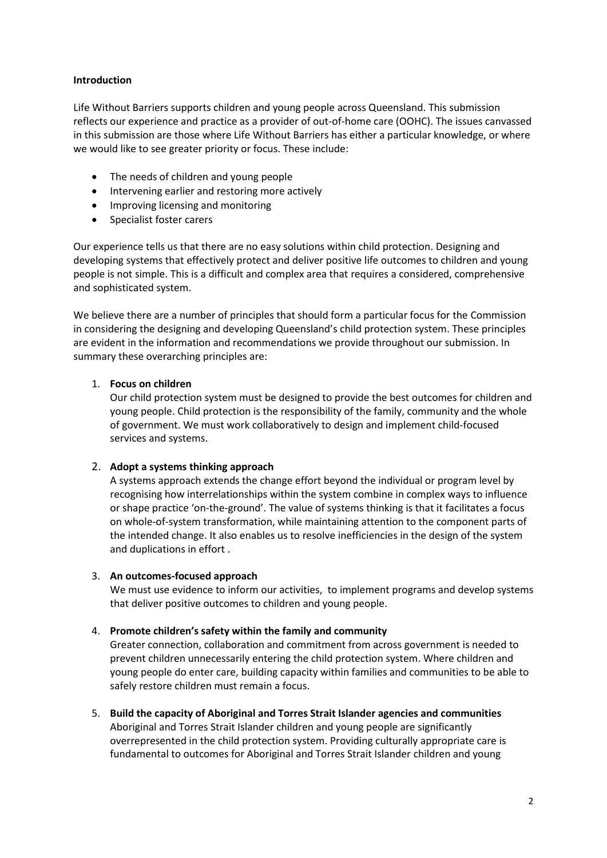## **Introduction**

Life Without Barriers supports children and young people across Queensland. This submission reflects our experience and practice as a provider of out-of-home care (OOHC). The issues canvassed in this submission are those where Life Without Barriers has either a particular knowledge, or where we would like to see greater priority or focus. These include:

- The needs of children and young people
- Intervening earlier and restoring more actively
- Improving licensing and monitoring
- Specialist foster carers

Our experience tells us that there are no easy solutions within child protection. Designing and developing systems that effectively protect and deliver positive life outcomes to children and young people is not simple. This is a difficult and complex area that requires a considered, comprehensive and sophisticated system.

We believe there are a number of principles that should form a particular focus for the Commission in considering the designing and developing Queensland's child protection system. These principles are evident in the information and recommendations we provide throughout our submission. In summary these overarching principles are:

# 1. **Focus on children**

Our child protection system must be designed to provide the best outcomes for children and young people. Child protection is the responsibility of the family, community and the whole of government. We must work collaboratively to design and implement child-focused services and systems.

# 2. **Adopt a systems thinking approach**

A systems approach extends the change effort beyond the individual or program level by recognising how interrelationships within the system combine in complex ways to influence or shape practice 'on-the-ground'. The value of systems thinking is that it facilitates a focus on whole-of-system transformation, while maintaining attention to the component parts of the intended change. It also enables us to resolve inefficiencies in the design of the system and duplications in effort .

# 3. **An outcomes-focused approach**

We must use evidence to inform our activities, to implement programs and develop systems that deliver positive outcomes to children and young people.

# 4. **Promote children's safety within the family and community**

Greater connection, collaboration and commitment from across government is needed to prevent children unnecessarily entering the child protection system. Where children and young people do enter care, building capacity within families and communities to be able to safely restore children must remain a focus.

5. **Build the capacity of Aboriginal and Torres Strait Islander agencies and communities** Aboriginal and Torres Strait Islander children and young people are significantly overrepresented in the child protection system. Providing culturally appropriate care is fundamental to outcomes for Aboriginal and Torres Strait Islander children and young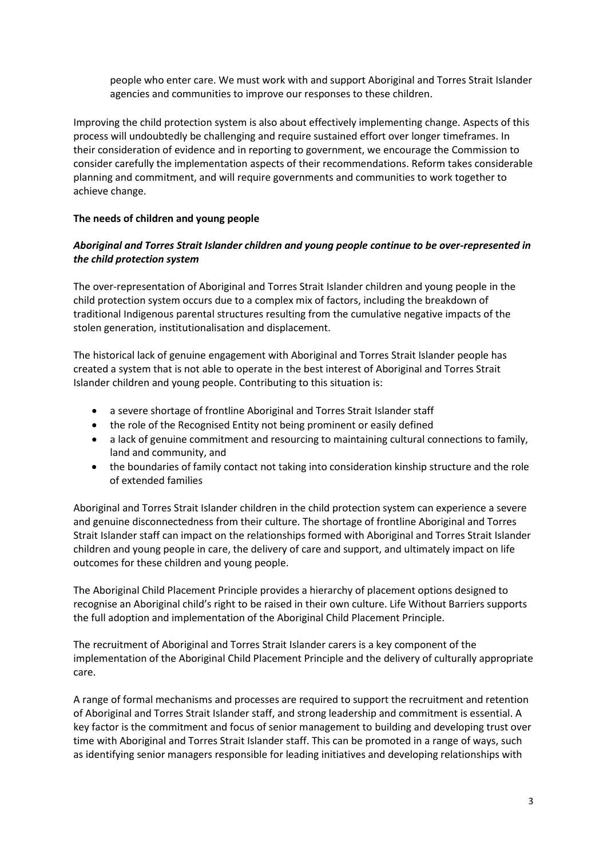people who enter care. We must work with and support Aboriginal and Torres Strait Islander agencies and communities to improve our responses to these children.

Improving the child protection system is also about effectively implementing change. Aspects of this process will undoubtedly be challenging and require sustained effort over longer timeframes. In their consideration of evidence and in reporting to government, we encourage the Commission to consider carefully the implementation aspects of their recommendations. Reform takes considerable planning and commitment, and will require governments and communities to work together to achieve change.

## **The needs of children and young people**

# *Aboriginal and Torres Strait Islander children and young people continue to be over-represented in the child protection system*

The over-representation of Aboriginal and Torres Strait Islander children and young people in the child protection system occurs due to a complex mix of factors, including the breakdown of traditional Indigenous parental structures resulting from the cumulative negative impacts of the stolen generation, institutionalisation and displacement.

The historical lack of genuine engagement with Aboriginal and Torres Strait Islander people has created a system that is not able to operate in the best interest of Aboriginal and Torres Strait Islander children and young people. Contributing to this situation is:

- a severe shortage of frontline Aboriginal and Torres Strait Islander staff
- the role of the Recognised Entity not being prominent or easily defined
- a lack of genuine commitment and resourcing to maintaining cultural connections to family, land and community, and
- the boundaries of family contact not taking into consideration kinship structure and the role of extended families

Aboriginal and Torres Strait Islander children in the child protection system can experience a severe and genuine disconnectedness from their culture. The shortage of frontline Aboriginal and Torres Strait Islander staff can impact on the relationships formed with Aboriginal and Torres Strait Islander children and young people in care, the delivery of care and support, and ultimately impact on life outcomes for these children and young people.

The Aboriginal Child Placement Principle provides a hierarchy of placement options designed to recognise an Aboriginal child's right to be raised in their own culture. Life Without Barriers supports the full adoption and implementation of the Aboriginal Child Placement Principle.

The recruitment of Aboriginal and Torres Strait Islander carers is a key component of the implementation of the Aboriginal Child Placement Principle and the delivery of culturally appropriate care.

A range of formal mechanisms and processes are required to support the recruitment and retention of Aboriginal and Torres Strait Islander staff, and strong leadership and commitment is essential. A key factor is the commitment and focus of senior management to building and developing trust over time with Aboriginal and Torres Strait Islander staff. This can be promoted in a range of ways, such as identifying senior managers responsible for leading initiatives and developing relationships with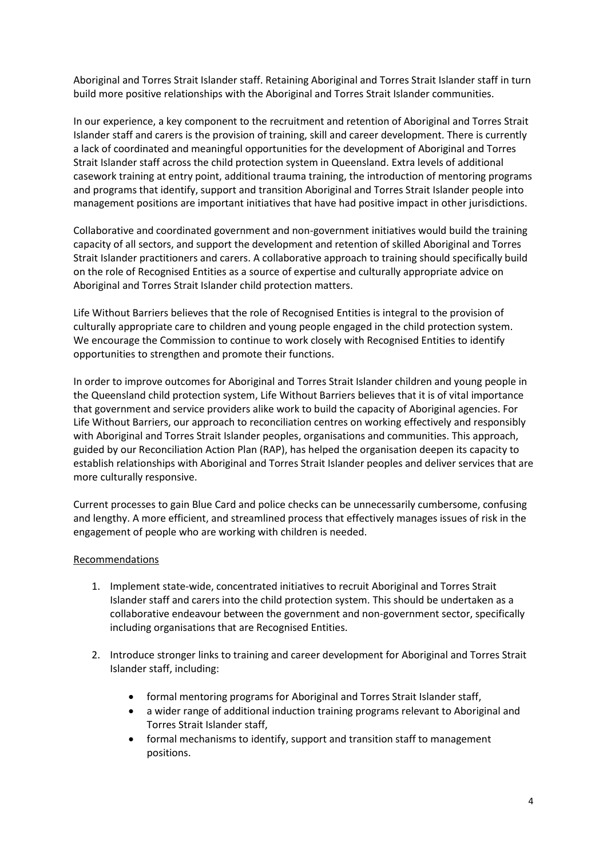Aboriginal and Torres Strait Islander staff. Retaining Aboriginal and Torres Strait Islander staff in turn build more positive relationships with the Aboriginal and Torres Strait Islander communities.

In our experience, a key component to the recruitment and retention of Aboriginal and Torres Strait Islander staff and carers is the provision of training, skill and career development. There is currently a lack of coordinated and meaningful opportunities for the development of Aboriginal and Torres Strait Islander staff across the child protection system in Queensland. Extra levels of additional casework training at entry point, additional trauma training, the introduction of mentoring programs and programs that identify, support and transition Aboriginal and Torres Strait Islander people into management positions are important initiatives that have had positive impact in other jurisdictions.

Collaborative and coordinated government and non-government initiatives would build the training capacity of all sectors, and support the development and retention of skilled Aboriginal and Torres Strait Islander practitioners and carers. A collaborative approach to training should specifically build on the role of Recognised Entities as a source of expertise and culturally appropriate advice on Aboriginal and Torres Strait Islander child protection matters.

Life Without Barriers believes that the role of Recognised Entities is integral to the provision of culturally appropriate care to children and young people engaged in the child protection system. We encourage the Commission to continue to work closely with Recognised Entities to identify opportunities to strengthen and promote their functions.

In order to improve outcomes for Aboriginal and Torres Strait Islander children and young people in the Queensland child protection system, Life Without Barriers believes that it is of vital importance that government and service providers alike work to build the capacity of Aboriginal agencies. For Life Without Barriers, our approach to reconciliation centres on working effectively and responsibly with Aboriginal and Torres Strait Islander peoples, organisations and communities. This approach, guided by our Reconciliation Action Plan (RAP), has helped the organisation deepen its capacity to establish relationships with Aboriginal and Torres Strait Islander peoples and deliver services that are more culturally responsive.

Current processes to gain Blue Card and police checks can be unnecessarily cumbersome, confusing and lengthy. A more efficient, and streamlined process that effectively manages issues of risk in the engagement of people who are working with children is needed.

#### Recommendations

- 1. Implement state-wide, concentrated initiatives to recruit Aboriginal and Torres Strait Islander staff and carers into the child protection system. This should be undertaken as a collaborative endeavour between the government and non-government sector, specifically including organisations that are Recognised Entities.
- 2. Introduce stronger links to training and career development for Aboriginal and Torres Strait Islander staff, including:
	- formal mentoring programs for Aboriginal and Torres Strait Islander staff,
	- a wider range of additional induction training programs relevant to Aboriginal and Torres Strait Islander staff,
	- formal mechanisms to identify, support and transition staff to management positions.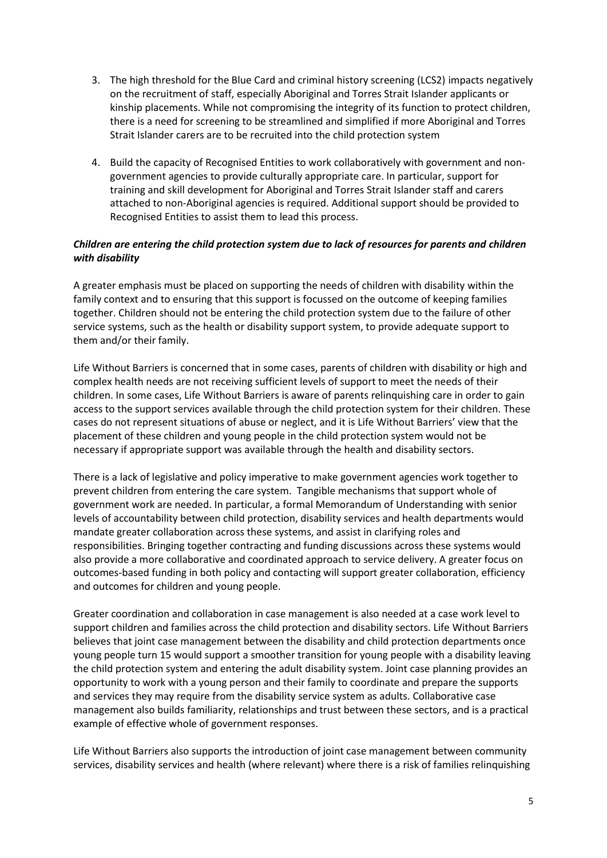- 3. The high threshold for the Blue Card and criminal history screening (LCS2) impacts negatively on the recruitment of staff, especially Aboriginal and Torres Strait Islander applicants or kinship placements. While not compromising the integrity of its function to protect children, there is a need for screening to be streamlined and simplified if more Aboriginal and Torres Strait Islander carers are to be recruited into the child protection system
- 4. Build the capacity of Recognised Entities to work collaboratively with government and nongovernment agencies to provide culturally appropriate care. In particular, support for training and skill development for Aboriginal and Torres Strait Islander staff and carers attached to non-Aboriginal agencies is required. Additional support should be provided to Recognised Entities to assist them to lead this process.

# *Children are entering the child protection system due to lack of resources for parents and children with disability*

A greater emphasis must be placed on supporting the needs of children with disability within the family context and to ensuring that this support is focussed on the outcome of keeping families together. Children should not be entering the child protection system due to the failure of other service systems, such as the health or disability support system, to provide adequate support to them and/or their family.

Life Without Barriers is concerned that in some cases, parents of children with disability or high and complex health needs are not receiving sufficient levels of support to meet the needs of their children. In some cases, Life Without Barriers is aware of parents relinquishing care in order to gain access to the support services available through the child protection system for their children. These cases do not represent situations of abuse or neglect, and it is Life Without Barriers' view that the placement of these children and young people in the child protection system would not be necessary if appropriate support was available through the health and disability sectors.

There is a lack of legislative and policy imperative to make government agencies work together to prevent children from entering the care system. Tangible mechanisms that support whole of government work are needed. In particular, a formal Memorandum of Understanding with senior levels of accountability between child protection, disability services and health departments would mandate greater collaboration across these systems, and assist in clarifying roles and responsibilities. Bringing together contracting and funding discussions across these systems would also provide a more collaborative and coordinated approach to service delivery. A greater focus on outcomes-based funding in both policy and contacting will support greater collaboration, efficiency and outcomes for children and young people.

Greater coordination and collaboration in case management is also needed at a case work level to support children and families across the child protection and disability sectors. Life Without Barriers believes that joint case management between the disability and child protection departments once young people turn 15 would support a smoother transition for young people with a disability leaving the child protection system and entering the adult disability system. Joint case planning provides an opportunity to work with a young person and their family to coordinate and prepare the supports and services they may require from the disability service system as adults. Collaborative case management also builds familiarity, relationships and trust between these sectors, and is a practical example of effective whole of government responses.

Life Without Barriers also supports the introduction of joint case management between community services, disability services and health (where relevant) where there is a risk of families relinquishing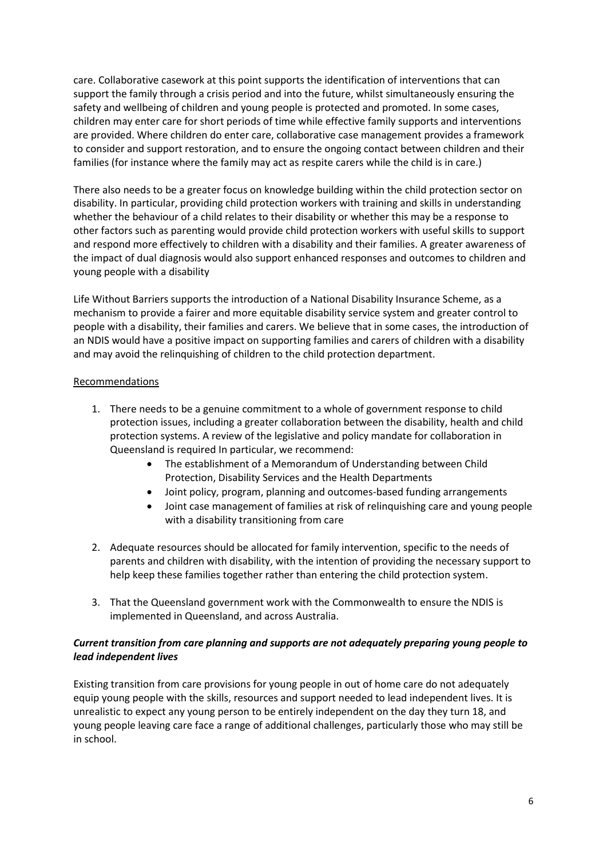care. Collaborative casework at this point supports the identification of interventions that can support the family through a crisis period and into the future, whilst simultaneously ensuring the safety and wellbeing of children and young people is protected and promoted. In some cases, children may enter care for short periods of time while effective family supports and interventions are provided. Where children do enter care, collaborative case management provides a framework to consider and support restoration, and to ensure the ongoing contact between children and their families (for instance where the family may act as respite carers while the child is in care.)

There also needs to be a greater focus on knowledge building within the child protection sector on disability. In particular, providing child protection workers with training and skills in understanding whether the behaviour of a child relates to their disability or whether this may be a response to other factors such as parenting would provide child protection workers with useful skills to support and respond more effectively to children with a disability and their families. A greater awareness of the impact of dual diagnosis would also support enhanced responses and outcomes to children and young people with a disability

Life Without Barriers supports the introduction of a National Disability Insurance Scheme, as a mechanism to provide a fairer and more equitable disability service system and greater control to people with a disability, their families and carers. We believe that in some cases, the introduction of an NDIS would have a positive impact on supporting families and carers of children with a disability and may avoid the relinquishing of children to the child protection department.

# Recommendations

- 1. There needs to be a genuine commitment to a whole of government response to child protection issues, including a greater collaboration between the disability, health and child protection systems. A review of the legislative and policy mandate for collaboration in Queensland is required In particular, we recommend:
	- The establishment of a Memorandum of Understanding between Child Protection, Disability Services and the Health Departments
	- Joint policy, program, planning and outcomes-based funding arrangements
	- Joint case management of families at risk of relinquishing care and young people with a disability transitioning from care
- 2. Adequate resources should be allocated for family intervention, specific to the needs of parents and children with disability, with the intention of providing the necessary support to help keep these families together rather than entering the child protection system.
- 3. That the Queensland government work with the Commonwealth to ensure the NDIS is implemented in Queensland, and across Australia.

## *Current transition from care planning and supports are not adequately preparing young people to lead independent lives*

Existing transition from care provisions for young people in out of home care do not adequately equip young people with the skills, resources and support needed to lead independent lives. It is unrealistic to expect any young person to be entirely independent on the day they turn 18, and young people leaving care face a range of additional challenges, particularly those who may still be in school.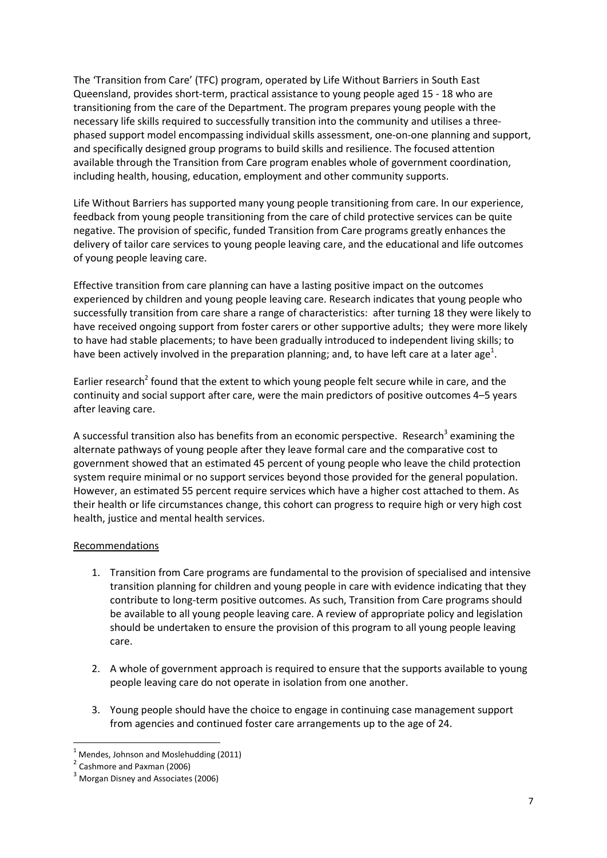The 'Transition from Care' (TFC) program, operated by Life Without Barriers in South East Queensland, provides short-term, practical assistance to young people aged 15 - 18 who are transitioning from the care of the Department. The program prepares young people with the necessary life skills required to successfully transition into the community and utilises a threephased support model encompassing individual skills assessment, one-on-one planning and support, and specifically designed group programs to build skills and resilience. The focused attention available through the Transition from Care program enables whole of government coordination, including health, housing, education, employment and other community supports.

Life Without Barriers has supported many young people transitioning from care. In our experience, feedback from young people transitioning from the care of child protective services can be quite negative. The provision of specific, funded Transition from Care programs greatly enhances the delivery of tailor care services to young people leaving care, and the educational and life outcomes of young people leaving care.

Effective transition from care planning can have a lasting positive impact on the outcomes experienced by children and young people leaving care. Research indicates that young people who successfully transition from care share a range of characteristics: after turning 18 they were likely to have received ongoing support from foster carers or other supportive adults; they were more likely to have had stable placements; to have been gradually introduced to independent living skills; to have been actively involved in the preparation planning; and, to have left care at a later age<sup>1</sup>.

Earlier research<sup>2</sup> found that the extent to which young people felt secure while in care, and the continuity and social support after care, were the main predictors of positive outcomes 4–5 years after leaving care.

A successful transition also has benefits from an economic perspective. Research<sup>3</sup> examining the alternate pathways of young people after they leave formal care and the comparative cost to government showed that an estimated 45 percent of young people who leave the child protection system require minimal or no support services beyond those provided for the general population. However, an estimated 55 percent require services which have a higher cost attached to them. As their health or life circumstances change, this cohort can progress to require high or very high cost health, justice and mental health services.

#### Recommendations

- 1. Transition from Care programs are fundamental to the provision of specialised and intensive transition planning for children and young people in care with evidence indicating that they contribute to long-term positive outcomes. As such, Transition from Care programs should be available to all young people leaving care. A review of appropriate policy and legislation should be undertaken to ensure the provision of this program to all young people leaving care.
- 2. A whole of government approach is required to ensure that the supports available to young people leaving care do not operate in isolation from one another.
- 3. Young people should have the choice to engage in continuing case management support from agencies and continued foster care arrangements up to the age of 24.

<sup>&</sup>lt;u>.</u>  $1$  Mendes, Johnson and Moslehudding (2011)

<sup>&</sup>lt;sup>2</sup> Cashmore and Paxman (2006)

<sup>&</sup>lt;sup>3</sup> Morgan Disney and Associates (2006)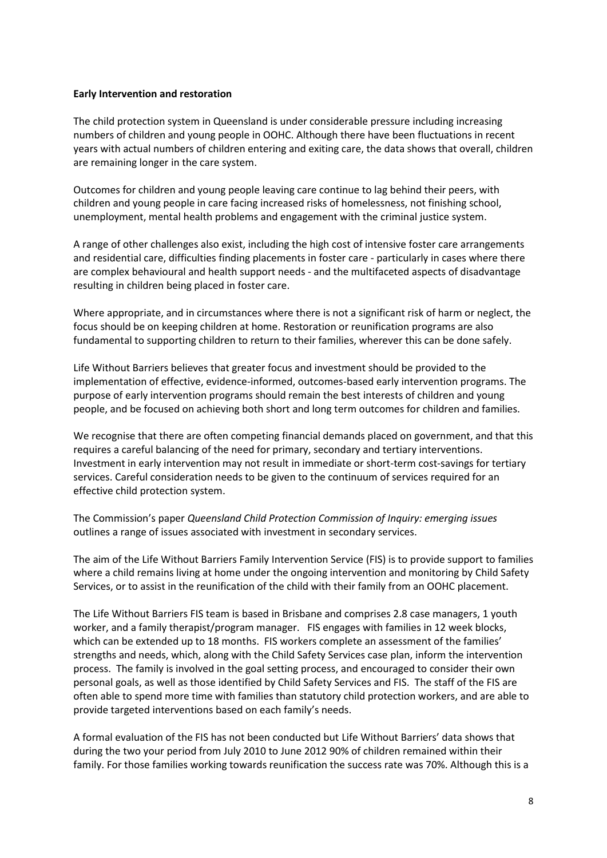#### **Early Intervention and restoration**

The child protection system in Queensland is under considerable pressure including increasing numbers of children and young people in OOHC. Although there have been fluctuations in recent years with actual numbers of children entering and exiting care, the data shows that overall, children are remaining longer in the care system.

Outcomes for children and young people leaving care continue to lag behind their peers, with children and young people in care facing increased risks of homelessness, not finishing school, unemployment, mental health problems and engagement with the criminal justice system.

A range of other challenges also exist, including the high cost of intensive foster care arrangements and residential care, difficulties finding placements in foster care - particularly in cases where there are complex behavioural and health support needs - and the multifaceted aspects of disadvantage resulting in children being placed in foster care.

Where appropriate, and in circumstances where there is not a significant risk of harm or neglect, the focus should be on keeping children at home. Restoration or reunification programs are also fundamental to supporting children to return to their families, wherever this can be done safely.

Life Without Barriers believes that greater focus and investment should be provided to the implementation of effective, evidence-informed, outcomes-based early intervention programs. The purpose of early intervention programs should remain the best interests of children and young people, and be focused on achieving both short and long term outcomes for children and families.

We recognise that there are often competing financial demands placed on government, and that this requires a careful balancing of the need for primary, secondary and tertiary interventions. Investment in early intervention may not result in immediate or short-term cost-savings for tertiary services. Careful consideration needs to be given to the continuum of services required for an effective child protection system.

The Commission's paper *Queensland Child Protection Commission of Inquiry: emerging issues* outlines a range of issues associated with investment in secondary services.

The aim of the Life Without Barriers Family Intervention Service (FIS) is to provide support to families where a child remains living at home under the ongoing intervention and monitoring by Child Safety Services, or to assist in the reunification of the child with their family from an OOHC placement.

The Life Without Barriers FIS team is based in Brisbane and comprises 2.8 case managers, 1 youth worker, and a family therapist/program manager. FIS engages with families in 12 week blocks, which can be extended up to 18 months. FIS workers complete an assessment of the families' strengths and needs, which, along with the Child Safety Services case plan, inform the intervention process. The family is involved in the goal setting process, and encouraged to consider their own personal goals, as well as those identified by Child Safety Services and FIS. The staff of the FIS are often able to spend more time with families than statutory child protection workers, and are able to provide targeted interventions based on each family's needs.

A formal evaluation of the FIS has not been conducted but Life Without Barriers' data shows that during the two your period from July 2010 to June 2012 90% of children remained within their family. For those families working towards reunification the success rate was 70%. Although this is a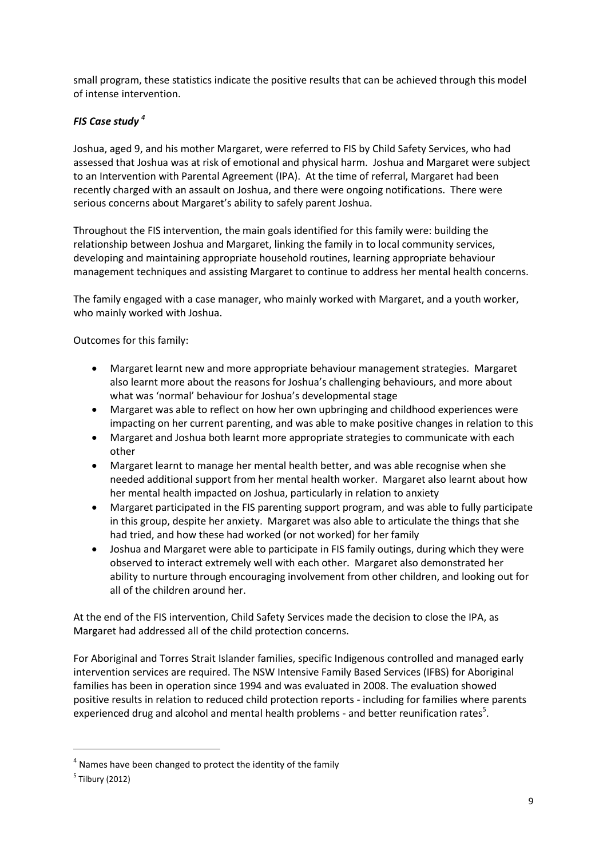small program, these statistics indicate the positive results that can be achieved through this model of intense intervention.

# *FIS Case study <sup>4</sup>*

Joshua, aged 9, and his mother Margaret, were referred to FIS by Child Safety Services, who had assessed that Joshua was at risk of emotional and physical harm. Joshua and Margaret were subject to an Intervention with Parental Agreement (IPA). At the time of referral, Margaret had been recently charged with an assault on Joshua, and there were ongoing notifications. There were serious concerns about Margaret's ability to safely parent Joshua.

Throughout the FIS intervention, the main goals identified for this family were: building the relationship between Joshua and Margaret, linking the family in to local community services, developing and maintaining appropriate household routines, learning appropriate behaviour management techniques and assisting Margaret to continue to address her mental health concerns.

The family engaged with a case manager, who mainly worked with Margaret, and a youth worker, who mainly worked with Joshua.

Outcomes for this family:

- Margaret learnt new and more appropriate behaviour management strategies. Margaret also learnt more about the reasons for Joshua's challenging behaviours, and more about what was 'normal' behaviour for Joshua's developmental stage
- Margaret was able to reflect on how her own upbringing and childhood experiences were impacting on her current parenting, and was able to make positive changes in relation to this
- Margaret and Joshua both learnt more appropriate strategies to communicate with each other
- Margaret learnt to manage her mental health better, and was able recognise when she needed additional support from her mental health worker. Margaret also learnt about how her mental health impacted on Joshua, particularly in relation to anxiety
- Margaret participated in the FIS parenting support program, and was able to fully participate in this group, despite her anxiety. Margaret was also able to articulate the things that she had tried, and how these had worked (or not worked) for her family
- Joshua and Margaret were able to participate in FIS family outings, during which they were observed to interact extremely well with each other. Margaret also demonstrated her ability to nurture through encouraging involvement from other children, and looking out for all of the children around her.

At the end of the FIS intervention, Child Safety Services made the decision to close the IPA, as Margaret had addressed all of the child protection concerns.

For Aboriginal and Torres Strait Islander families, specific Indigenous controlled and managed early intervention services are required. The NSW Intensive Family Based Services (IFBS) for Aboriginal families has been in operation since 1994 and was evaluated in 2008. The evaluation showed positive results in relation to reduced child protection reports - including for families where parents experienced drug and alcohol and mental health problems - and better reunification rates<sup>5</sup>.

<u>.</u>

 $<sup>4</sup>$  Names have been changed to protect the identity of the family</sup>

<sup>&</sup>lt;sup>5</sup> Tilbury (2012)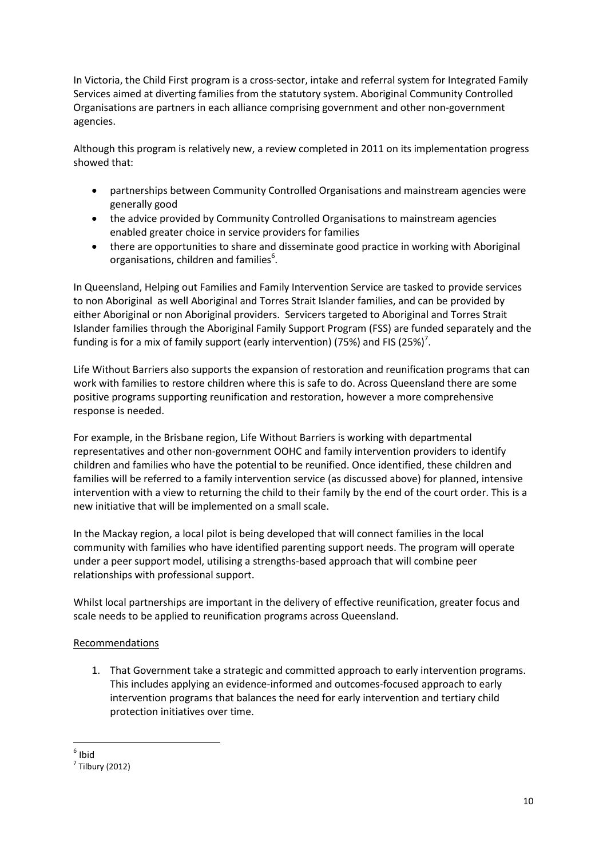In Victoria, the Child First program is a cross-sector, intake and referral system for Integrated Family Services aimed at diverting families from the statutory system. Aboriginal Community Controlled Organisations are partners in each alliance comprising government and other non-government agencies.

Although this program is relatively new, a review completed in 2011 on its implementation progress showed that:

- partnerships between Community Controlled Organisations and mainstream agencies were generally good
- the advice provided by Community Controlled Organisations to mainstream agencies enabled greater choice in service providers for families
- there are opportunities to share and disseminate good practice in working with Aboriginal organisations, children and families $<sup>6</sup>$ .</sup>

In Queensland, Helping out Families and Family Intervention Service are tasked to provide services to non Aboriginal as well Aboriginal and Torres Strait Islander families, and can be provided by either Aboriginal or non Aboriginal providers. Servicers targeted to Aboriginal and Torres Strait Islander families through the Aboriginal Family Support Program (FSS) are funded separately and the funding is for a mix of family support (early intervention) (75%) and FIS (25%)<sup>7</sup>.

Life Without Barriers also supports the expansion of restoration and reunification programs that can work with families to restore children where this is safe to do. Across Queensland there are some positive programs supporting reunification and restoration, however a more comprehensive response is needed.

For example, in the Brisbane region, Life Without Barriers is working with departmental representatives and other non-government OOHC and family intervention providers to identify children and families who have the potential to be reunified. Once identified, these children and families will be referred to a family intervention service (as discussed above) for planned, intensive intervention with a view to returning the child to their family by the end of the court order. This is a new initiative that will be implemented on a small scale.

In the Mackay region, a local pilot is being developed that will connect families in the local community with families who have identified parenting support needs. The program will operate under a peer support model, utilising a strengths-based approach that will combine peer relationships with professional support.

Whilst local partnerships are important in the delivery of effective reunification, greater focus and scale needs to be applied to reunification programs across Queensland.

# Recommendations

1. That Government take a strategic and committed approach to early intervention programs. This includes applying an evidence-informed and outcomes-focused approach to early intervention programs that balances the need for early intervention and tertiary child protection initiatives over time.

<sup>&</sup>lt;u>.</u> 6 Ibid

 $<sup>7</sup>$  Tilbury (2012)</sup>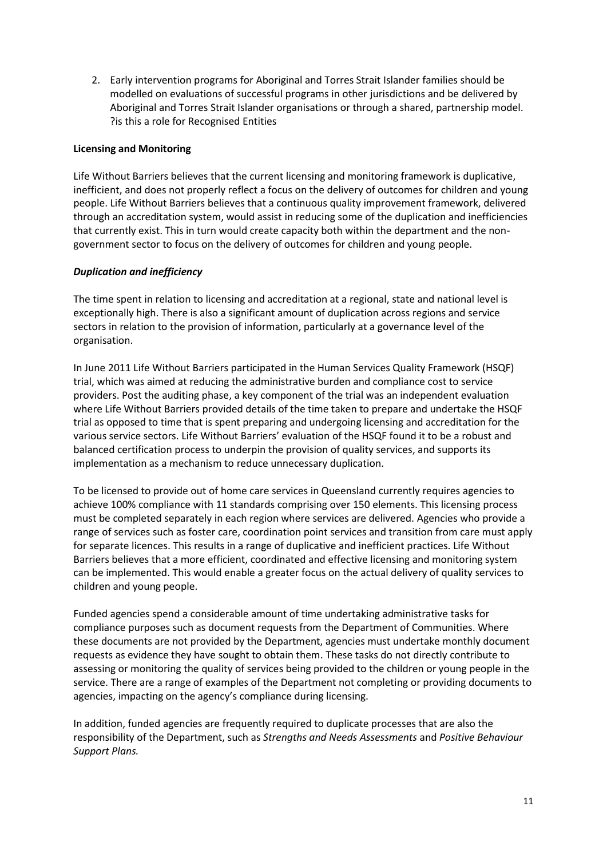2. Early intervention programs for Aboriginal and Torres Strait Islander families should be modelled on evaluations of successful programs in other jurisdictions and be delivered by Aboriginal and Torres Strait Islander organisations or through a shared, partnership model. ?is this a role for Recognised Entities

## **Licensing and Monitoring**

Life Without Barriers believes that the current licensing and monitoring framework is duplicative, inefficient, and does not properly reflect a focus on the delivery of outcomes for children and young people. Life Without Barriers believes that a continuous quality improvement framework, delivered through an accreditation system, would assist in reducing some of the duplication and inefficiencies that currently exist. This in turn would create capacity both within the department and the nongovernment sector to focus on the delivery of outcomes for children and young people.

## *Duplication and inefficiency*

The time spent in relation to licensing and accreditation at a regional, state and national level is exceptionally high. There is also a significant amount of duplication across regions and service sectors in relation to the provision of information, particularly at a governance level of the organisation.

In June 2011 Life Without Barriers participated in the Human Services Quality Framework (HSQF) trial, which was aimed at reducing the administrative burden and compliance cost to service providers. Post the auditing phase, a key component of the trial was an independent evaluation where Life Without Barriers provided details of the time taken to prepare and undertake the HSQF trial as opposed to time that is spent preparing and undergoing licensing and accreditation for the various service sectors. Life Without Barriers' evaluation of the HSQF found it to be a robust and balanced certification process to underpin the provision of quality services, and supports its implementation as a mechanism to reduce unnecessary duplication.

To be licensed to provide out of home care services in Queensland currently requires agencies to achieve 100% compliance with 11 standards comprising over 150 elements. This licensing process must be completed separately in each region where services are delivered. Agencies who provide a range of services such as foster care, coordination point services and transition from care must apply for separate licences. This results in a range of duplicative and inefficient practices. Life Without Barriers believes that a more efficient, coordinated and effective licensing and monitoring system can be implemented. This would enable a greater focus on the actual delivery of quality services to children and young people.

Funded agencies spend a considerable amount of time undertaking administrative tasks for compliance purposes such as document requests from the Department of Communities. Where these documents are not provided by the Department, agencies must undertake monthly document requests as evidence they have sought to obtain them. These tasks do not directly contribute to assessing or monitoring the quality of services being provided to the children or young people in the service. There are a range of examples of the Department not completing or providing documents to agencies, impacting on the agency's compliance during licensing.

In addition, funded agencies are frequently required to duplicate processes that are also the responsibility of the Department, such as *Strengths and Needs Assessments* and *Positive Behaviour Support Plans.*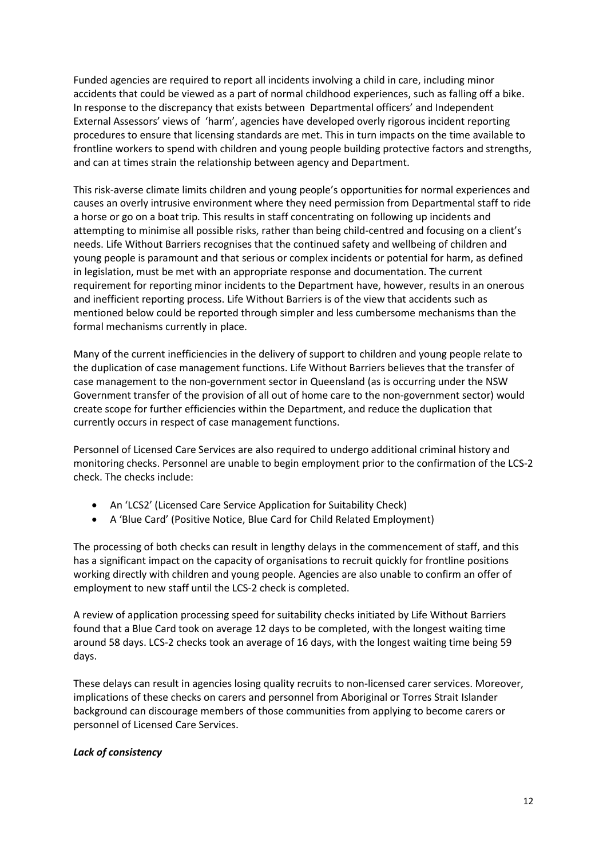Funded agencies are required to report all incidents involving a child in care, including minor accidents that could be viewed as a part of normal childhood experiences, such as falling off a bike. In response to the discrepancy that exists between Departmental officers' and Independent External Assessors' views of 'harm', agencies have developed overly rigorous incident reporting procedures to ensure that licensing standards are met. This in turn impacts on the time available to frontline workers to spend with children and young people building protective factors and strengths, and can at times strain the relationship between agency and Department.

This risk-averse climate limits children and young people's opportunities for normal experiences and causes an overly intrusive environment where they need permission from Departmental staff to ride a horse or go on a boat trip. This results in staff concentrating on following up incidents and attempting to minimise all possible risks, rather than being child-centred and focusing on a client's needs. Life Without Barriers recognises that the continued safety and wellbeing of children and young people is paramount and that serious or complex incidents or potential for harm, as defined in legislation, must be met with an appropriate response and documentation. The current requirement for reporting minor incidents to the Department have, however, results in an onerous and inefficient reporting process. Life Without Barriers is of the view that accidents such as mentioned below could be reported through simpler and less cumbersome mechanisms than the formal mechanisms currently in place.

Many of the current inefficiencies in the delivery of support to children and young people relate to the duplication of case management functions. Life Without Barriers believes that the transfer of case management to the non-government sector in Queensland (as is occurring under the NSW Government transfer of the provision of all out of home care to the non-government sector) would create scope for further efficiencies within the Department, and reduce the duplication that currently occurs in respect of case management functions.

Personnel of Licensed Care Services are also required to undergo additional criminal history and monitoring checks. Personnel are unable to begin employment prior to the confirmation of the LCS-2 check. The checks include:

- An 'LCS2' (Licensed Care Service Application for Suitability Check)
- A 'Blue Card' (Positive Notice, Blue Card for Child Related Employment)

The processing of both checks can result in lengthy delays in the commencement of staff, and this has a significant impact on the capacity of organisations to recruit quickly for frontline positions working directly with children and young people. Agencies are also unable to confirm an offer of employment to new staff until the LCS-2 check is completed.

A review of application processing speed for suitability checks initiated by Life Without Barriers found that a Blue Card took on average 12 days to be completed, with the longest waiting time around 58 days. LCS-2 checks took an average of 16 days, with the longest waiting time being 59 days.

These delays can result in agencies losing quality recruits to non-licensed carer services. Moreover, implications of these checks on carers and personnel from Aboriginal or Torres Strait Islander background can discourage members of those communities from applying to become carers or personnel of Licensed Care Services.

#### *Lack of consistency*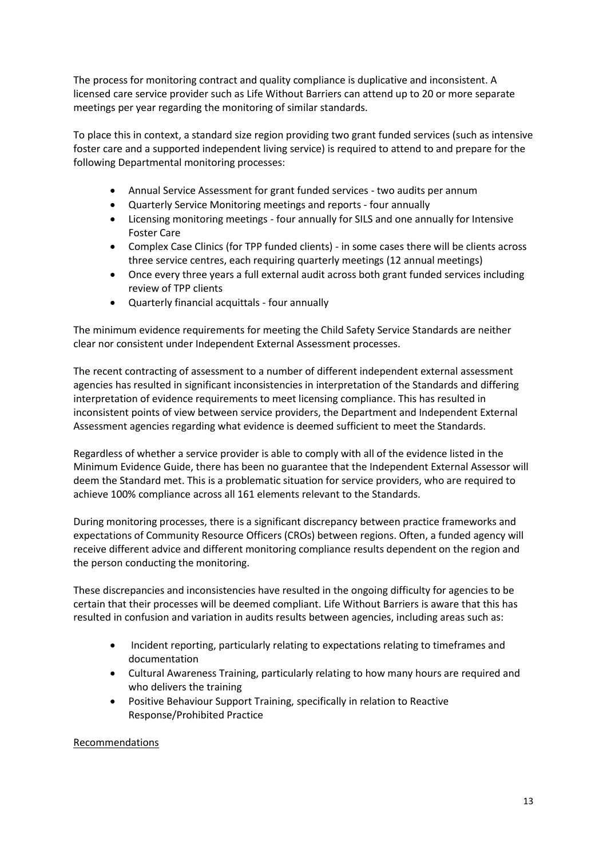The process for monitoring contract and quality compliance is duplicative and inconsistent. A licensed care service provider such as Life Without Barriers can attend up to 20 or more separate meetings per year regarding the monitoring of similar standards.

To place this in context, a standard size region providing two grant funded services (such as intensive foster care and a supported independent living service) is required to attend to and prepare for the following Departmental monitoring processes:

- Annual Service Assessment for grant funded services two audits per annum
- Quarterly Service Monitoring meetings and reports four annually
- Licensing monitoring meetings four annually for SILS and one annually for Intensive Foster Care
- Complex Case Clinics (for TPP funded clients) in some cases there will be clients across three service centres, each requiring quarterly meetings (12 annual meetings)
- Once every three years a full external audit across both grant funded services including review of TPP clients
- Quarterly financial acquittals four annually

The minimum evidence requirements for meeting the Child Safety Service Standards are neither clear nor consistent under Independent External Assessment processes.

The recent contracting of assessment to a number of different independent external assessment agencies has resulted in significant inconsistencies in interpretation of the Standards and differing interpretation of evidence requirements to meet licensing compliance. This has resulted in inconsistent points of view between service providers, the Department and Independent External Assessment agencies regarding what evidence is deemed sufficient to meet the Standards.

Regardless of whether a service provider is able to comply with all of the evidence listed in the Minimum Evidence Guide, there has been no guarantee that the Independent External Assessor will deem the Standard met. This is a problematic situation for service providers, who are required to achieve 100% compliance across all 161 elements relevant to the Standards.

During monitoring processes, there is a significant discrepancy between practice frameworks and expectations of Community Resource Officers (CROs) between regions. Often, a funded agency will receive different advice and different monitoring compliance results dependent on the region and the person conducting the monitoring.

These discrepancies and inconsistencies have resulted in the ongoing difficulty for agencies to be certain that their processes will be deemed compliant. Life Without Barriers is aware that this has resulted in confusion and variation in audits results between agencies, including areas such as:

- Incident reporting, particularly relating to expectations relating to timeframes and documentation
- Cultural Awareness Training, particularly relating to how many hours are required and who delivers the training
- Positive Behaviour Support Training, specifically in relation to Reactive Response/Prohibited Practice

# Recommendations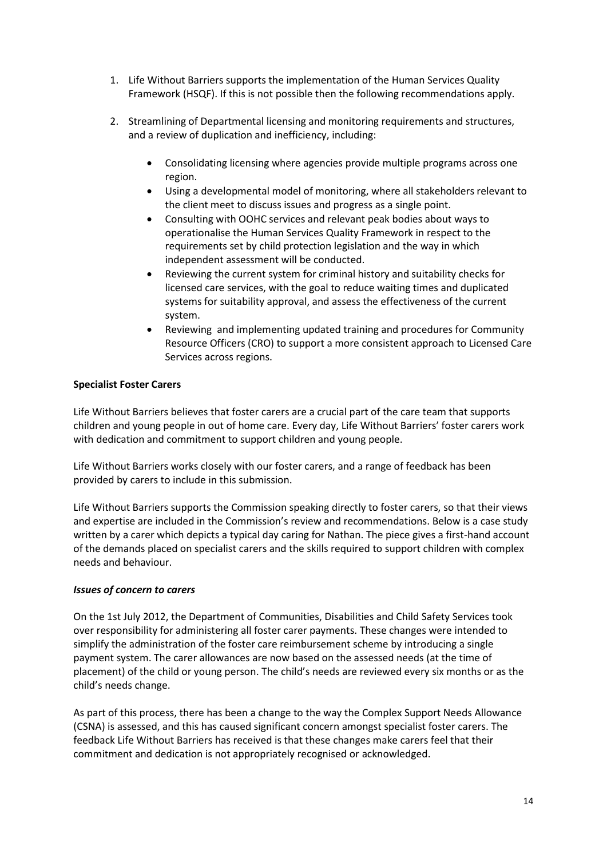- 1. Life Without Barriers supports the implementation of the Human Services Quality Framework (HSQF). If this is not possible then the following recommendations apply.
- 2. Streamlining of Departmental licensing and monitoring requirements and structures, and a review of duplication and inefficiency, including:
	- Consolidating licensing where agencies provide multiple programs across one region.
	- Using a developmental model of monitoring, where all stakeholders relevant to the client meet to discuss issues and progress as a single point.
	- Consulting with OOHC services and relevant peak bodies about ways to operationalise the Human Services Quality Framework in respect to the requirements set by child protection legislation and the way in which independent assessment will be conducted.
	- Reviewing the current system for criminal history and suitability checks for licensed care services, with the goal to reduce waiting times and duplicated systems for suitability approval, and assess the effectiveness of the current system.
	- Reviewing and implementing updated training and procedures for Community Resource Officers (CRO) to support a more consistent approach to Licensed Care Services across regions.

## **Specialist Foster Carers**

Life Without Barriers believes that foster carers are a crucial part of the care team that supports children and young people in out of home care. Every day, Life Without Barriers' foster carers work with dedication and commitment to support children and young people.

Life Without Barriers works closely with our foster carers, and a range of feedback has been provided by carers to include in this submission.

Life Without Barriers supports the Commission speaking directly to foster carers, so that their views and expertise are included in the Commission's review and recommendations. Below is a case study written by a carer which depicts a typical day caring for Nathan. The piece gives a first-hand account of the demands placed on specialist carers and the skills required to support children with complex needs and behaviour.

#### *Issues of concern to carers*

On the 1st July 2012, the Department of Communities, Disabilities and Child Safety Services took over responsibility for administering all foster carer payments. These changes were intended to simplify the administration of the foster care reimbursement scheme by introducing a single payment system. The carer allowances are now based on the assessed needs (at the time of placement) of the child or young person. The child's needs are reviewed every six months or as the child's needs change.

As part of this process, there has been a change to the way the Complex Support Needs Allowance (CSNA) is assessed, and this has caused significant concern amongst specialist foster carers. The feedback Life Without Barriers has received is that these changes make carers feel that their commitment and dedication is not appropriately recognised or acknowledged.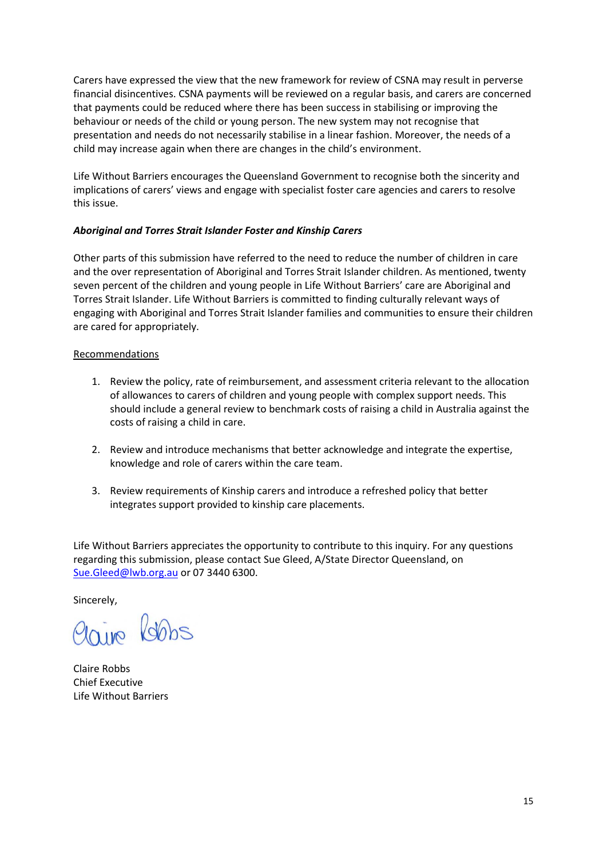Carers have expressed the view that the new framework for review of CSNA may result in perverse financial disincentives. CSNA payments will be reviewed on a regular basis, and carers are concerned that payments could be reduced where there has been success in stabilising or improving the behaviour or needs of the child or young person. The new system may not recognise that presentation and needs do not necessarily stabilise in a linear fashion. Moreover, the needs of a child may increase again when there are changes in the child's environment.

Life Without Barriers encourages the Queensland Government to recognise both the sincerity and implications of carers' views and engage with specialist foster care agencies and carers to resolve this issue.

## *Aboriginal and Torres Strait Islander Foster and Kinship Carers*

Other parts of this submission have referred to the need to reduce the number of children in care and the over representation of Aboriginal and Torres Strait Islander children. As mentioned, twenty seven percent of the children and young people in Life Without Barriers' care are Aboriginal and Torres Strait Islander. Life Without Barriers is committed to finding culturally relevant ways of engaging with Aboriginal and Torres Strait Islander families and communities to ensure their children are cared for appropriately.

## Recommendations

- 1. Review the policy, rate of reimbursement, and assessment criteria relevant to the allocation of allowances to carers of children and young people with complex support needs. This should include a general review to benchmark costs of raising a child in Australia against the costs of raising a child in care.
- 2. Review and introduce mechanisms that better acknowledge and integrate the expertise, knowledge and role of carers within the care team.
- 3. Review requirements of Kinship carers and introduce a refreshed policy that better integrates support provided to kinship care placements.

Life Without Barriers appreciates the opportunity to contribute to this inquiry. For any questions regarding this submission, please contact Sue Gleed, A/State Director Queensland, on [Sue.Gleed@lwb.org.au](mailto:Sue.Gleed@lwb.org.au) or 07 3440 6300.

Sincerely,

Claire Robbs

Claire Robbs Chief Executive Life Without Barriers